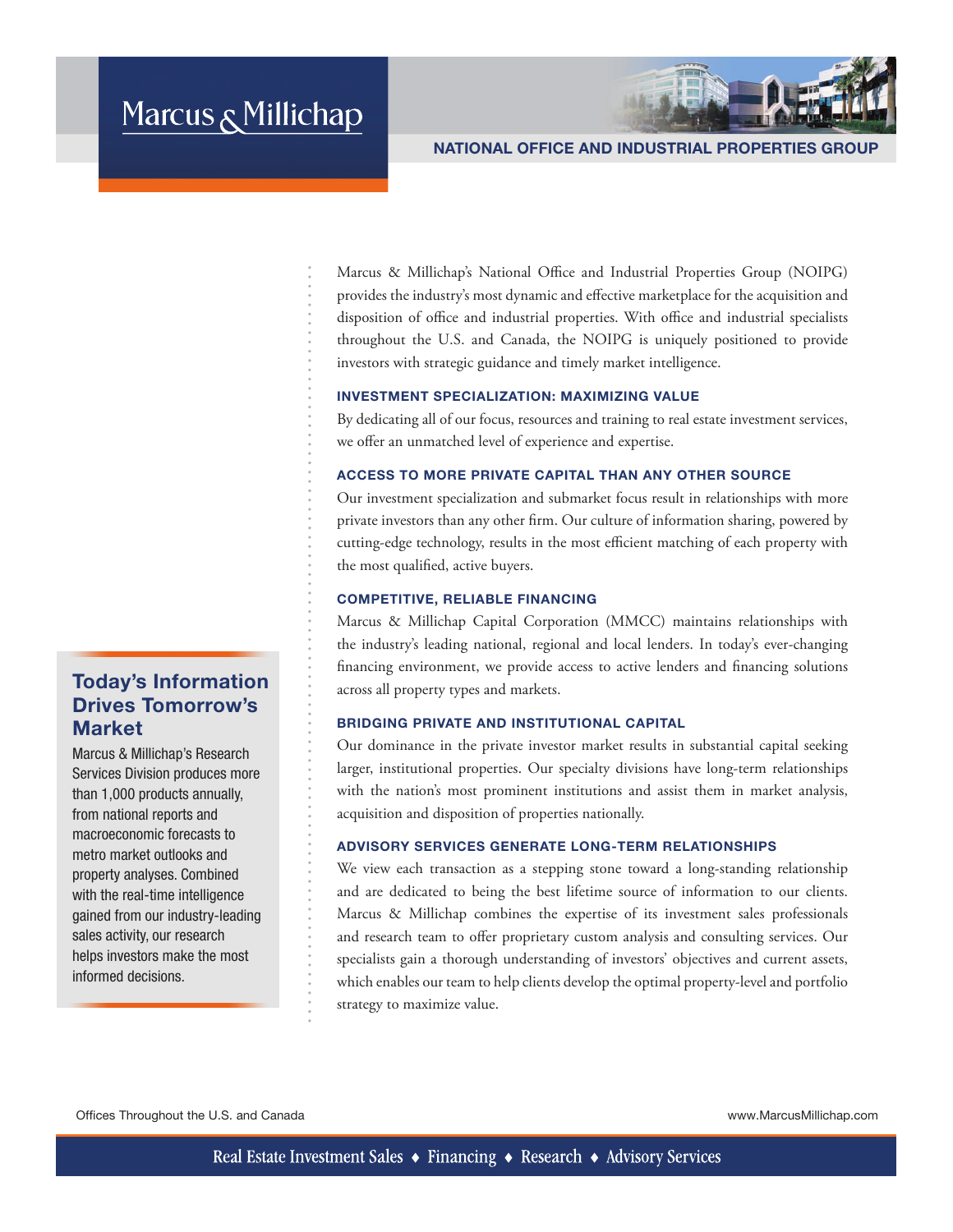# Marcus & Millichap



NATIONAL OFFICE AND INDUSTRIAL PROPERTIES

Marcus & Millichap's National Office and Industrial Properties Group (NOIPG) provides the industry's most dynamic and effective marketplace for the acquisition and disposition of office and industrial properties. With office and industrial specialists throughout the U.S. and Canada, the NOIPG is uniquely positioned to provide investors with strategic guidance and timely market intelligence.

#### INVESTMENT SPECIALIZATION: MAXIMIZING VALUE

By dedicating all of our focus, resources and training to real estate investment services, we offer an unmatched level of experience and expertise.

#### ACCESS TO MORE PRIVATE CAPITAL THAN ANY OTHER SOURCE

Our investment specialization and submarket focus result in relationships with more private investors than any other firm. Our culture of information sharing, powered by cutting-edge technology, results in the most efficient matching of each property with the most qualified, active buyers.

#### COMPETITIVE, RELIABLE FINANCING

Marcus & Millichap Capital Corporation (MMCC) maintains relationships with the industry's leading national, regional and local lenders. In today's ever-changing financing environment, we provide access to active lenders and financing solutions across all property types and markets.

#### BRIDGING PRIVATE AND INSTITUTIONAL CAPITAL

Our dominance in the private investor market results in substantial capital seeking larger, institutional properties. Our specialty divisions have long-term relationships with the nation's most prominent institutions and assist them in market analysis, acquisition and disposition of properties nationally.

#### ADVISORY SERVICES GENERATE LONG-TERM RELATIONSHIPS

We view each transaction as a stepping stone toward a long-standing relationship and are dedicated to being the best lifetime source of information to our clients. Marcus & Millichap combines the expertise of its investment sales professionals and research team to offer proprietary custom analysis and consulting services. Our specialists gain a thorough understanding of investors' objectives and current assets, which enables our team to help clients develop the optimal property-level and portfolio strategy to maximize value.

Today's Information Drives Tomorrow's Market

Marcus & Millichap's Research Services Division produces more than 1,000 products annually, from national reports and macroeconomic forecasts to metro market outlooks and property analyses. Combined with the real-time intelligence gained from our industry-leading sales activity, our research helps investors make the most informed decisions.

Offices Throughout the U.S. and Canada www.MarcusMillichap.com